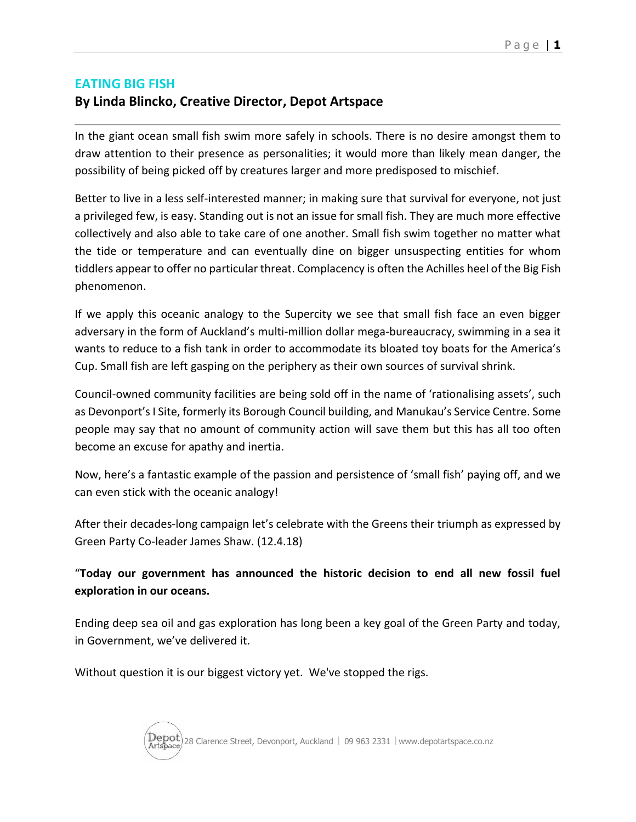## **EATING BIG FISH**

## **By Linda Blincko, Creative Director, Depot Artspace**

In the giant ocean small fish swim more safely in schools. There is no desire amongst them to draw attention to their presence as personalities; it would more than likely mean danger, the possibility of being picked off by creatures larger and more predisposed to mischief.

Better to live in a less self-interested manner; in making sure that survival for everyone, not just a privileged few, is easy. Standing out is not an issue for small fish. They are much more effective collectively and also able to take care of one another. Small fish swim together no matter what the tide or temperature and can eventually dine on bigger unsuspecting entities for whom tiddlers appear to offer no particular threat. Complacency is often the Achilles heel of the Big Fish phenomenon.

If we apply this oceanic analogy to the Supercity we see that small fish face an even bigger adversary in the form of Auckland's multi-million dollar mega-bureaucracy, swimming in a sea it wants to reduce to a fish tank in order to accommodate its bloated toy boats for the America's Cup. Small fish are left gasping on the periphery as their own sources of survival shrink.

Council-owned community facilities are being sold off in the name of 'rationalising assets', such as Devonport's I Site, formerly its Borough Council building, and Manukau's Service Centre. Some people may say that no amount of community action will save them but this has all too often become an excuse for apathy and inertia.

Now, here's a fantastic example of the passion and persistence of 'small fish' paying off, and we can even stick with the oceanic analogy!

After their decades-long campaign let's celebrate with the Greens their triumph as expressed by Green Party Co-leader James Shaw. (12.4.18)

"**Today our government has announced the historic decision to end all new fossil fuel exploration in our oceans.** 

Ending deep sea oil and gas exploration has long been a key goal of the Green Party and today, in Government, we've delivered it.

Without question it is our biggest victory yet. We've stopped the rigs.

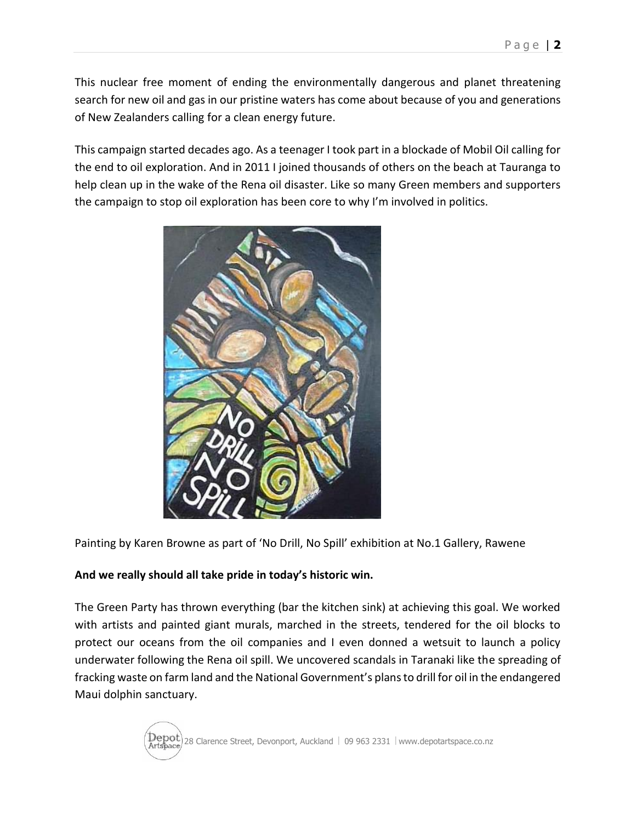This nuclear free moment of ending the environmentally dangerous and planet threatening search for new oil and gas in our pristine waters has come about because of you and generations of New Zealanders calling for a clean energy future.

This campaign started decades ago. As a teenager I took part in a blockade of Mobil Oil calling for the end to oil exploration. And in 2011 I joined thousands of others on the beach at Tauranga to help clean up in the wake of the Rena oil disaster. Like so many Green members and supporters the campaign to stop oil exploration has been core to why I'm involved in politics.



Painting by Karen Browne as part of 'No Drill, No Spill' exhibition at No.1 Gallery, Rawene

## **And we really should all take pride in today's historic win.**

The Green Party has thrown everything (bar the kitchen sink) at achieving this goal. We worked with artists and painted giant murals, marched in the streets, tendered for the oil blocks to protect our oceans from the oil companies and I even donned a wetsuit to launch a policy underwater following the Rena oil spill. We uncovered scandals in Taranaki like the spreading of fracking waste on farm land and the National Government's plans to drill for oil in the endangered Maui dolphin sanctuary.